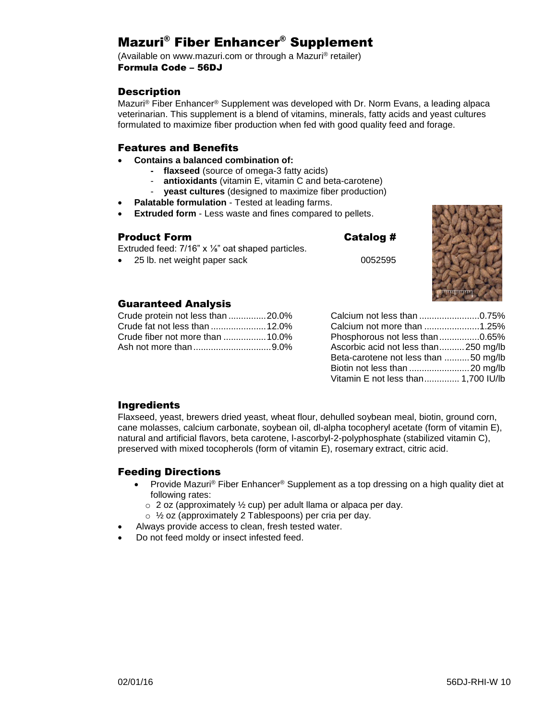# Mazuri® Fiber Enhancer® Supplement

(Available on www.mazuri.com or through a Mazuri® retailer) Formula Code – 56DJ

## **Description**

Mazuri® Fiber Enhancer® Supplement was developed with Dr. Norm Evans, a leading alpaca veterinarian. This supplement is a blend of vitamins, minerals, fatty acids and yeast cultures formulated to maximize fiber production when fed with good quality feed and forage.

#### Features and Benefits

- **Contains a balanced combination of:**
	- **flaxseed** (source of omega-3 fatty acids)
	- **antioxidants** (vitamin E, vitamin C and beta-carotene)
	- **yeast cultures** (designed to maximize fiber production)
- **Palatable formulation** Tested at leading farms.
- **Extruded form**  Less waste and fines compared to pellets.

#### Product Form Catalog #

Extruded feed: 7/16" x ⅛" oat shaped particles.

• 25 lb. net weight paper sack 0052595



#### Guaranteed Analysis

| Crude protein not less than 20.0% |  |
|-----------------------------------|--|
|                                   |  |
| Crude fiber not more than 10.0%   |  |
|                                   |  |

| Calcium not less than 0.75%          |  |
|--------------------------------------|--|
| Calcium not more than 1.25%          |  |
| Phosphorous not less than 0.65%      |  |
| Ascorbic acid not less than250 mg/lb |  |
| Beta-carotene not less than 50 mg/lb |  |
| Biotin not less than 20 mg/lb        |  |
| Vitamin E not less than 1,700 IU/lb  |  |

## Ingredients

Flaxseed, yeast, brewers dried yeast, wheat flour, dehulled soybean meal, biotin, ground corn, cane molasses, calcium carbonate, soybean oil, dl-alpha tocopheryl acetate (form of vitamin E), natural and artificial flavors, beta carotene, l-ascorbyl-2-polyphosphate (stabilized vitamin C), preserved with mixed tocopherols (form of vitamin E), rosemary extract, citric acid.

## Feeding Directions

- Provide Mazuri<sup>®</sup> Fiber Enhancer<sup>®</sup> Supplement as a top dressing on a high quality diet at following rates:
	- $\circ$  2 oz (approximately  $\frac{1}{2}$  cup) per adult llama or alpaca per day.
	- o ½ oz (approximately 2 Tablespoons) per cria per day.
- Always provide access to clean, fresh tested water.
- Do not feed moldy or insect infested feed.